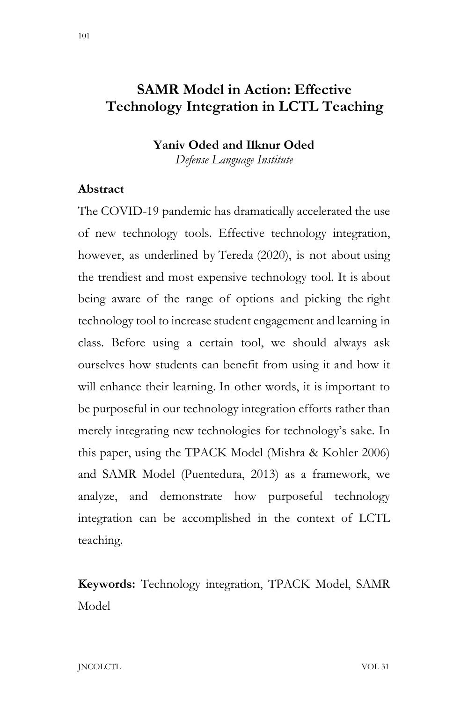## **SAMR Model in Action: Effective Technology Integration in LCTL Teaching**

### **Yaniv Oded and Ilknur Oded**

*Defense Language Institute*

#### **Abstract**

The COVID-19 pandemic has dramatically accelerated the use of new technology tools. Effective technology integration, however, as underlined by Tereda (2020), is not about using the trendiest and most expensive technology tool. It is about being aware of the range of options and picking the right technology tool to increase student engagement and learning in class. Before using a certain tool, we should always ask ourselves how students can benefit from using it and how it will enhance their learning. In other words, it is important to be purposeful in our technology integration efforts rather than merely integrating new technologies for technology's sake. In this paper, using the TPACK Model (Mishra & Kohler 2006) and SAMR Model (Puentedura, 2013) as a framework, we analyze, and demonstrate how purposeful technology integration can be accomplished in the context of LCTL teaching.

**Keywords:** Technology integration, TPACK Model, SAMR Model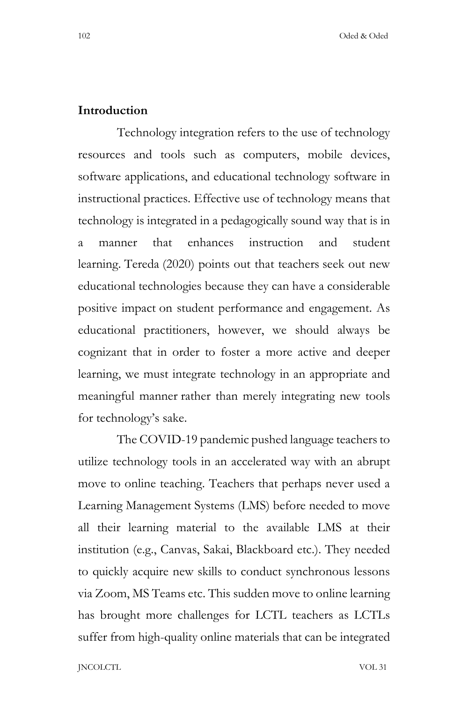#### **Introduction**

Technology integration refers to the use of technology resources and tools such as computers, mobile devices, software applications, and educational technology software in instructional practices. Effective use of technology means that technology is integrated in a pedagogically sound way that is in a manner that enhances instruction and student learning. Tereda (2020) points out that teachers seek out new educational technologies because they can have a considerable positive impact on student performance and engagement. As educational practitioners, however, we should always be cognizant that in order to foster a more active and deeper learning, we must integrate technology in an appropriate and meaningful manner rather than merely integrating new tools for technology's sake.

The COVID-19 pandemic pushed language teachers to utilize technology tools in an accelerated way with an abrupt move to online teaching. Teachers that perhaps never used a Learning Management Systems (LMS) before needed to move all their learning material to the available LMS at their institution (e.g., Canvas, Sakai, Blackboard etc.). They needed to quickly acquire new skills to conduct synchronous lessons via Zoom, MS Teams etc. This sudden move to online learning has brought more challenges for LCTL teachers as LCTLs suffer from high-quality online materials that can be integrated

JNCOLCTL VOL 31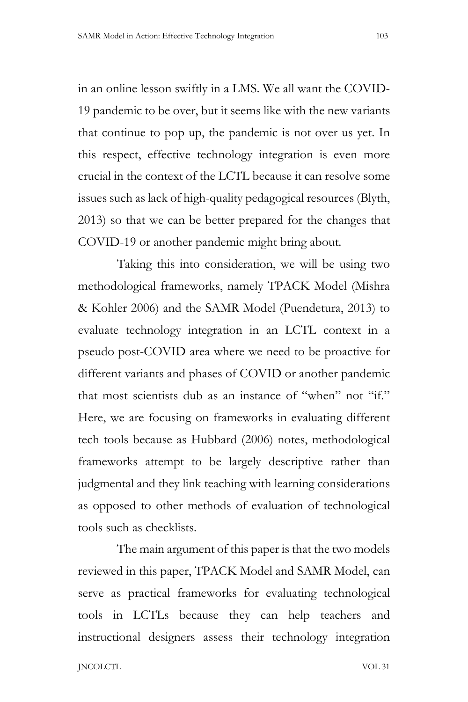in an online lesson swiftly in a LMS. We all want the COVID-19 pandemic to be over, but it seems like with the new variants that continue to pop up, the pandemic is not over us yet. In this respect, effective technology integration is even more crucial in the context of the LCTL because it can resolve some issues such as lack of high-quality pedagogical resources (Blyth, 2013) so that we can be better prepared for the changes that COVID-19 or another pandemic might bring about.

Taking this into consideration, we will be using two methodological frameworks, namely TPACK Model (Mishra & Kohler 2006) and the SAMR Model (Puendetura, 2013) to evaluate technology integration in an LCTL context in a pseudo post-COVID area where we need to be proactive for different variants and phases of COVID or another pandemic that most scientists dub as an instance of "when" not "if." Here, we are focusing on frameworks in evaluating different tech tools because as Hubbard (2006) notes, methodological frameworks attempt to be largely descriptive rather than judgmental and they link teaching with learning considerations as opposed to other methods of evaluation of technological tools such as checklists.

The main argument of this paper is that the two models reviewed in this paper, TPACK Model and SAMR Model, can serve as practical frameworks for evaluating technological tools in LCTLs because they can help teachers and instructional designers assess their technology integration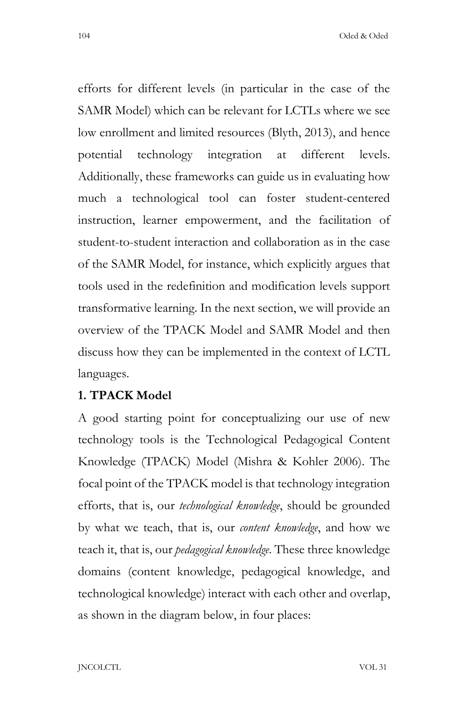104 Oded & Oded

efforts for different levels (in particular in the case of the SAMR Model) which can be relevant for LCTLs where we see low enrollment and limited resources (Blyth, 2013), and hence potential technology integration at different levels. Additionally, these frameworks can guide us in evaluating how much a technological tool can foster student-centered instruction, learner empowerment, and the facilitation of student-to-student interaction and collaboration as in the case of the SAMR Model, for instance, which explicitly argues that tools used in the redefinition and modification levels support transformative learning. In the next section, we will provide an overview of the TPACK Model and SAMR Model and then discuss how they can be implemented in the context of LCTL languages.

#### **1. TPACK Model**

A good starting point for conceptualizing our use of new technology tools is the Technological Pedagogical Content Knowledge (TPACK) Model (Mishra & Kohler 2006). The focal point of the TPACK model is that technology integration efforts, that is, our *technological knowledge*, should be grounded by what we teach, that is, our *content knowledge*, and how we teach it, that is, our *pedagogical knowledge*. These three knowledge domains (content knowledge, pedagogical knowledge, and technological knowledge) interact with each other and overlap, as shown in the diagram below, in four places: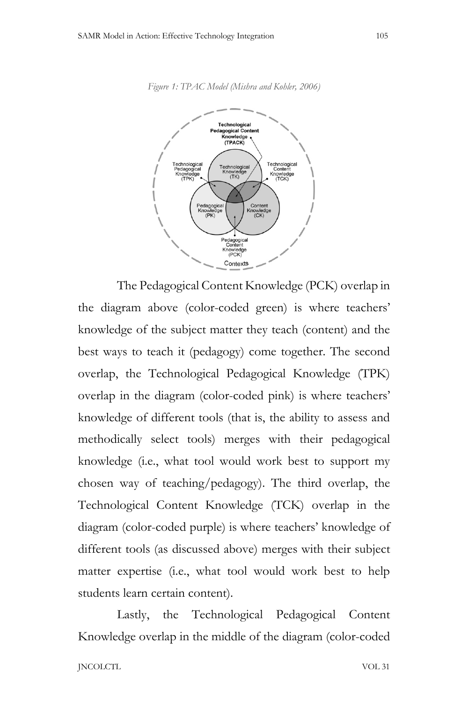



The Pedagogical Content Knowledge (PCK) overlap in the diagram above (color-coded green) is where teachers' knowledge of the subject matter they teach (content) and the best ways to teach it (pedagogy) come together. The second overlap, the Technological Pedagogical Knowledge (TPK) overlap in the diagram (color-coded pink) is where teachers' knowledge of different tools (that is, the ability to assess and methodically select tools) merges with their pedagogical knowledge (i.e., what tool would work best to support my chosen way of teaching/pedagogy). The third overlap, the Technological Content Knowledge (TCK) overlap in the diagram (color-coded purple) is where teachers' knowledge of different tools (as discussed above) merges with their subject matter expertise (i.e., what tool would work best to help students learn certain content).

Lastly, the Technological Pedagogical Content Knowledge overlap in the middle of the diagram (color-coded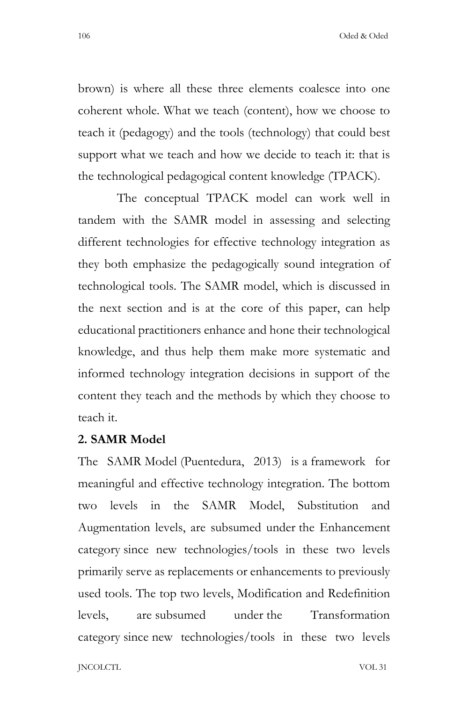106 Oded & Oded

brown) is where all these three elements coalesce into one coherent whole. What we teach (content), how we choose to teach it (pedagogy) and the tools (technology) that could best support what we teach and how we decide to teach it: that is the technological pedagogical content knowledge (TPACK).

The conceptual TPACK model can work well in tandem with the SAMR model in assessing and selecting different technologies for effective technology integration as they both emphasize the pedagogically sound integration of technological tools. The SAMR model, which is discussed in the next section and is at the core of this paper, can help educational practitioners enhance and hone their technological knowledge, and thus help them make more systematic and informed technology integration decisions in support of the content they teach and the methods by which they choose to teach it.

### **2. SAMR Model**

The SAMR Model (Puentedura, 2013) is a framework for meaningful and effective technology integration. The bottom two levels in the SAMR Model, Substitution and Augmentation levels, are subsumed under the Enhancement category since new technologies/tools in these two levels primarily serve as replacements or enhancements to previously used tools. The top two levels, Modification and Redefinition levels, are subsumed under the Transformation category since new technologies/tools in these two levels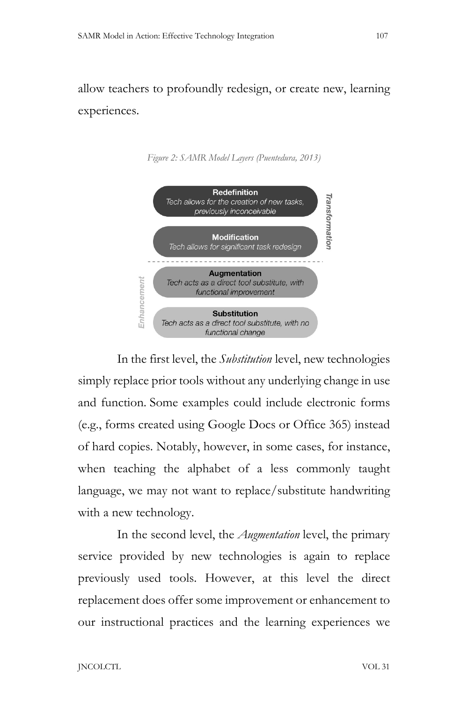allow teachers to profoundly redesign, or create new, learning experiences.





In the first level, the *Substitution* level, new technologies simply replace prior tools without any underlying change in use and function. Some examples could include electronic forms (e.g., forms created using Google Docs or Office 365) instead of hard copies. Notably, however, in some cases, for instance, when teaching the alphabet of a less commonly taught language, we may not want to replace/substitute handwriting with a new technology.

In the second level, the *Augmentation* level, the primary service provided by new technologies is again to replace previously used tools. However, at this level the direct replacement does offer some improvement or enhancement to our instructional practices and the learning experiences we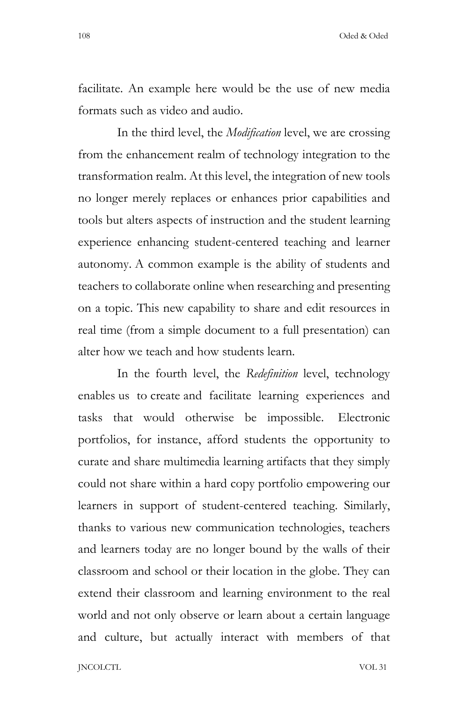108 Oded & Oded

facilitate. An example here would be the use of new media formats such as video and audio.

In the third level, the *Modification* level, we are crossing from the enhancement realm of technology integration to the transformation realm. At this level, the integration of new tools no longer merely replaces or enhances prior capabilities and tools but alters aspects of instruction and the student learning experience enhancing student-centered teaching and learner autonomy. A common example is the ability of students and teachers to collaborate online when researching and presenting on a topic. This new capability to share and edit resources in real time (from a simple document to a full presentation) can alter how we teach and how students learn.

In the fourth level, the *Redefinition* level, technology enables us to create and facilitate learning experiences and tasks that would otherwise be impossible. Electronic portfolios, for instance, afford students the opportunity to curate and share multimedia learning artifacts that they simply could not share within a hard copy portfolio empowering our learners in support of student-centered teaching. Similarly, thanks to various new communication technologies, teachers and learners today are no longer bound by the walls of their classroom and school or their location in the globe. They can extend their classroom and learning environment to the real world and not only observe or learn about a certain language and culture, but actually interact with members of that

JNCOLCTL VOL 31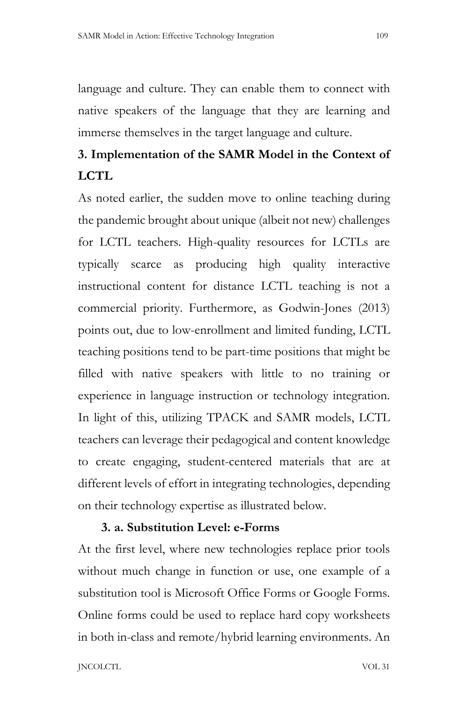language and culture. They can enable them to connect with native speakers of the language that they are learning and immerse themselves in the target language and culture.

# **3. Implementation of the SAMR Model in the Context of LCTL**

As noted earlier, the sudden move to online teaching during the pandemic brought about unique (albeit not new) challenges for LCTL teachers. High-quality resources for LCTLs are typically scarce as producing high quality interactive instructional content for distance LCTL teaching is not a commercial priority. Furthermore, as Godwin-Jones (2013) points out, due to low-enrollment and limited funding, LCTL teaching positions tend to be part-time positions that might be filled with native speakers with little to no training or experience in language instruction or technology integration. In light of this, utilizing TPACK and SAMR models, LCTL teachers can leverage their pedagogical and content knowledge to create engaging, student-centered materials that are at different levels of effort in integrating technologies, depending on their technology expertise as illustrated below.

## **3. a. Substitution Level: e-Forms**

At the first level, where new technologies replace prior tools without much change in function or use, one example of a substitution tool is Microsoft Office Forms or Google Forms. Online forms could be used to replace hard copy worksheets in both in-class and remote/hybrid learning environments. An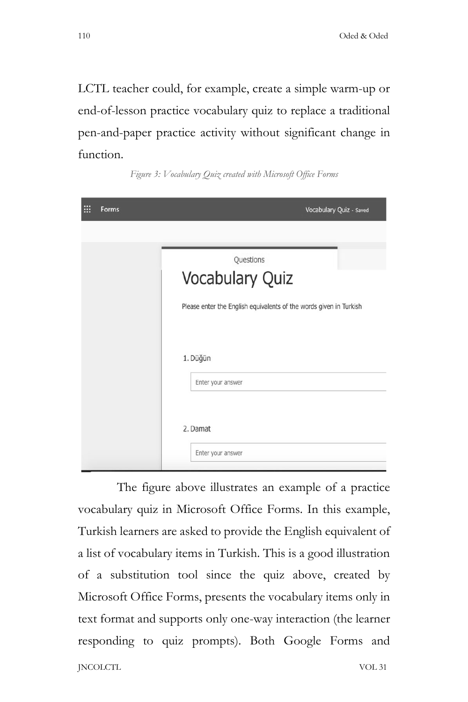LCTL teacher could, for example, create a simple warm-up or end-of-lesson practice vocabulary quiz to replace a traditional pen-and-paper practice activity without significant change in function.

| :<br>Forms | Vocabulary Quiz - Saved                                            |
|------------|--------------------------------------------------------------------|
|            |                                                                    |
|            | Questions                                                          |
|            | Vocabulary Quiz                                                    |
|            | Please enter the English equivalents of the words given in Turkish |
|            | 1. Düğün                                                           |
|            | Enter your answer                                                  |
|            | 2. Damat                                                           |
|            | Enter your answer                                                  |

*Figure 3: Vocabulary Quiz created with Microsoft Office Forms*

JNCOLCTL VOL 31 The figure above illustrates an example of a practice vocabulary quiz in Microsoft Office Forms. In this example, Turkish learners are asked to provide the English equivalent of a list of vocabulary items in Turkish. This is a good illustration of a substitution tool since the quiz above, created by Microsoft Office Forms, presents the vocabulary items only in text format and supports only one-way interaction (the learner responding to quiz prompts). Both Google Forms and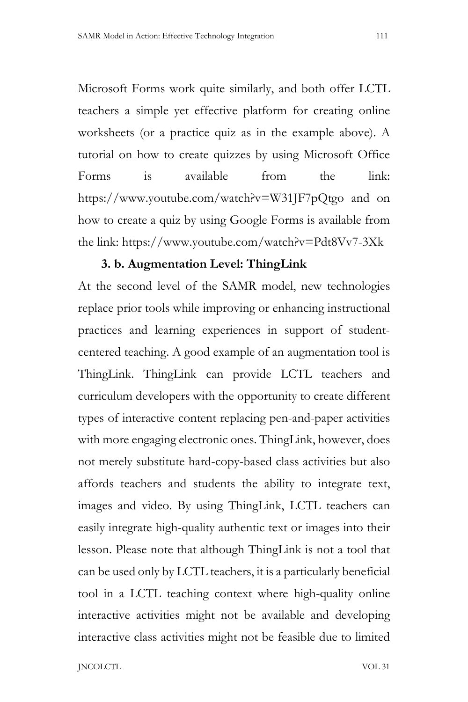Microsoft Forms work quite similarly, and both offer LCTL teachers a simple yet effective platform for creating online worksheets (or a practice quiz as in the example above). A tutorial on how to create quizzes by using Microsoft Office Forms is available from the link: https://www.youtube.com/watch?v=W31JF7pQtgo and on how to create a quiz by using Google Forms is available from the link: https://www.youtube.com/watch?v=Pdt8Vv7-3Xk

### **3. b. Augmentation Level: ThingLink**

At the second level of the SAMR model, new technologies replace prior tools while improving or enhancing instructional practices and learning experiences in support of studentcentered teaching. A good example of an augmentation tool is ThingLink. ThingLink can provide LCTL teachers and curriculum developers with the opportunity to create different types of interactive content replacing pen-and-paper activities with more engaging electronic ones. ThingLink, however, does not merely substitute hard-copy-based class activities but also affords teachers and students the ability to integrate text, images and video. By using ThingLink, LCTL teachers can easily integrate high-quality authentic text or images into their lesson. Please note that although ThingLink is not a tool that can be used only by LCTL teachers, it is a particularly beneficial tool in a LCTL teaching context where high-quality online interactive activities might not be available and developing interactive class activities might not be feasible due to limited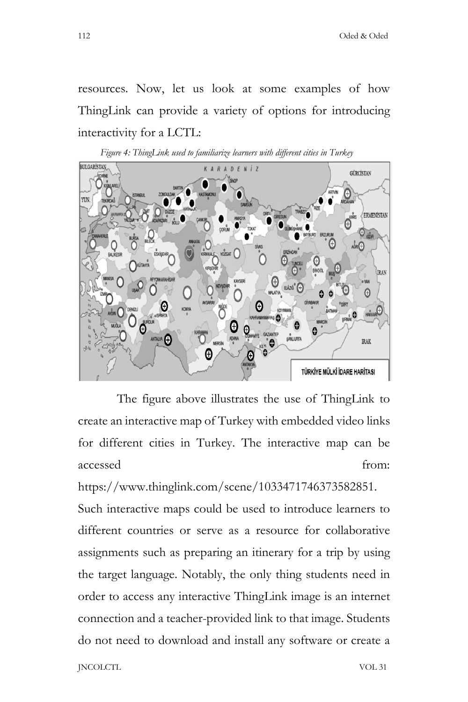resources. Now, let us look at some examples of how ThingLink can provide a variety of options for introducing interactivity for a LCTL:





The figure above illustrates the use of ThingLink to create an interactive map of Turkey with embedded video links for different cities in Turkey. The interactive map can be accessed from:

https://www.thinglink.com/scene/1033471746373582851. Such interactive maps could be used to introduce learners to different countries or serve as a resource for collaborative assignments such as preparing an itinerary for a trip by using the target language. Notably, the only thing students need in order to access any interactive ThingLink image is an internet connection and a teacher-provided link to that image. Students do not need to download and install any software or create a

JNCOLCTL VOL 31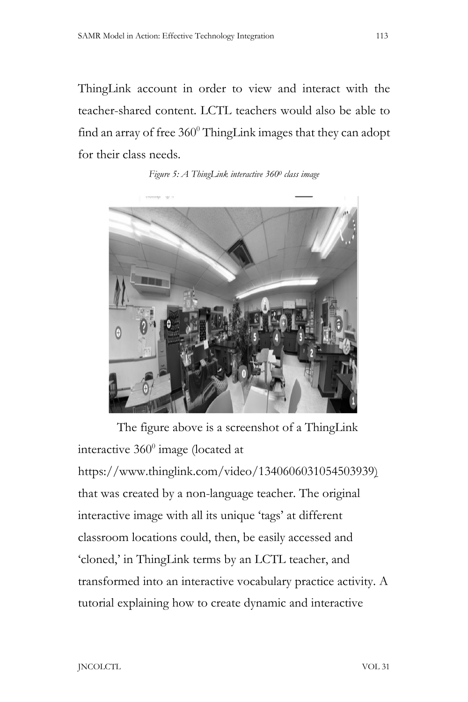ThingLink account in order to view and interact with the teacher-shared content. LCTL teachers would also be able to find an array of free  $360^{\circ}$  ThingLink images that they can adopt for their class needs.

*Figure 5: A ThingLink interactive 3600 class image*



The figure above is a screenshot of a ThingLink interactive  $360^{\circ}$  image (located at https://www.thinglink.com/video/1340606031054503939) that was created by a non-language teacher. The original interactive image with all its unique 'tags' at different classroom locations could, then, be easily accessed and 'cloned,' in ThingLink terms by an LCTL teacher, and transformed into an interactive vocabulary practice activity. A tutorial explaining how to create dynamic and interactive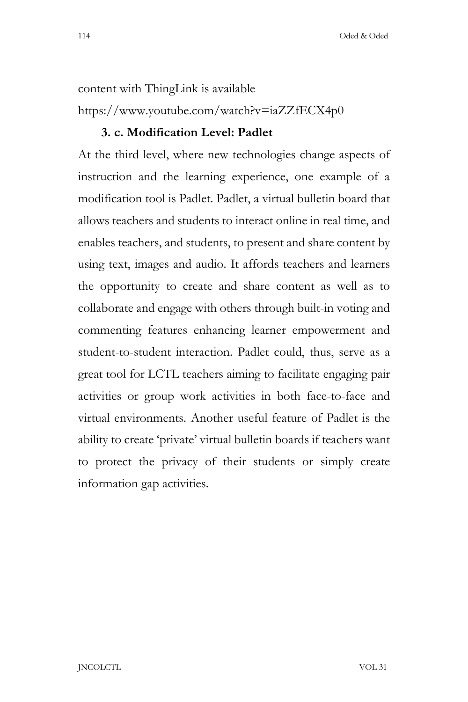content with ThingLink is available https://www.youtube.com/watch?v=iaZZfECX4p0

## **3. c. Modification Level: Padlet**

At the third level, where new technologies change aspects of instruction and the learning experience, one example of a modification tool is Padlet. Padlet, a virtual bulletin board that allows teachers and students to interact online in real time, and enables teachers, and students, to present and share content by using text, images and audio. It affords teachers and learners the opportunity to create and share content as well as to collaborate and engage with others through built-in voting and commenting features enhancing learner empowerment and student-to-student interaction. Padlet could, thus, serve as a great tool for LCTL teachers aiming to facilitate engaging pair activities or group work activities in both face-to-face and virtual environments. Another useful feature of Padlet is the ability to create 'private' virtual bulletin boards if teachers want to protect the privacy of their students or simply create information gap activities.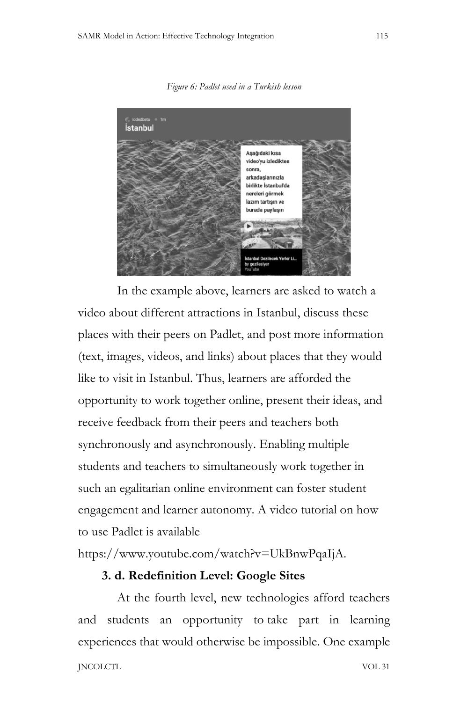*Figure 6: Padlet used in a Turkish lesson*



In the example above, learners are asked to watch a video about different attractions in Istanbul, discuss these places with their peers on Padlet, and post more information (text, images, videos, and links) about places that they would like to visit in Istanbul. Thus, learners are afforded the opportunity to work together online, present their ideas, and receive feedback from their peers and teachers both synchronously and asynchronously. Enabling multiple students and teachers to simultaneously work together in such an egalitarian online environment can foster student engagement and learner autonomy. A video tutorial on how to use Padlet is available

https://www.youtube.com/watch?v=UkBnwPqaIjA.

## **3. d. Redefinition Level: Google Sites**

JNCOLCTL VOL 31 At the fourth level, new technologies afford teachers and students an opportunity to take part in learning experiences that would otherwise be impossible. One example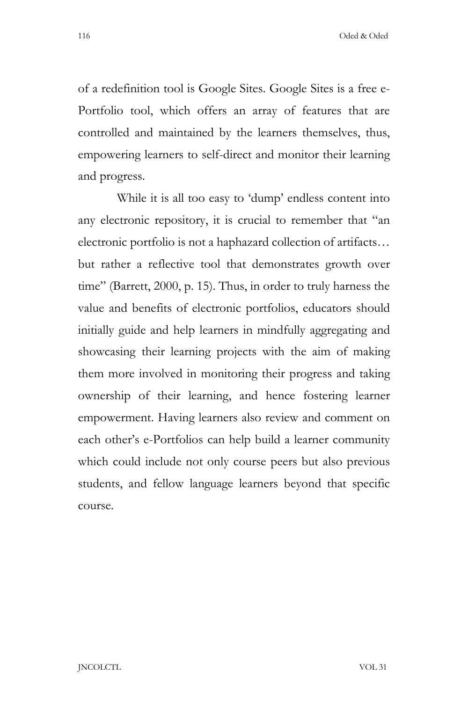116 Oded & Oded

of a redefinition tool is Google Sites. Google Sites is a free e-Portfolio tool, which offers an array of features that are controlled and maintained by the learners themselves, thus, empowering learners to self-direct and monitor their learning and progress.

While it is all too easy to 'dump' endless content into any electronic repository, it is crucial to remember that "an electronic portfolio is not a haphazard collection of artifacts… but rather a reflective tool that demonstrates growth over time" (Barrett, 2000, p. 15). Thus, in order to truly harness the value and benefits of electronic portfolios, educators should initially guide and help learners in mindfully aggregating and showcasing their learning projects with the aim of making them more involved in monitoring their progress and taking ownership of their learning, and hence fostering learner empowerment. Having learners also review and comment on each other's e-Portfolios can help build a learner community which could include not only course peers but also previous students, and fellow language learners beyond that specific course.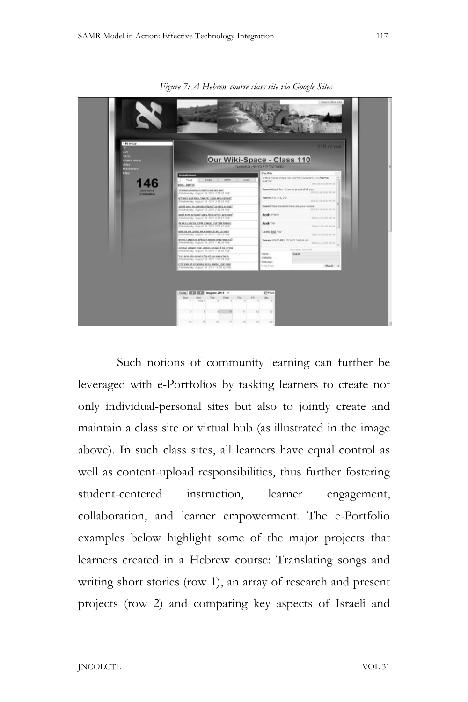

*Figure 7: A Hebrew course class site via Google Sites*

Such notions of community learning can further be leveraged with e-Portfolios by tasking learners to create not only individual-personal sites but also to jointly create and maintain a class site or virtual hub (as illustrated in the image above). In such class sites, all learners have equal control as well as content-upload responsibilities, thus further fostering student-centered instruction, learner engagement, collaboration, and learner empowerment. The e-Portfolio examples below highlight some of the major projects that learners created in a Hebrew course: Translating songs and writing short stories (row 1), an array of research and present projects (row 2) and comparing key aspects of Israeli and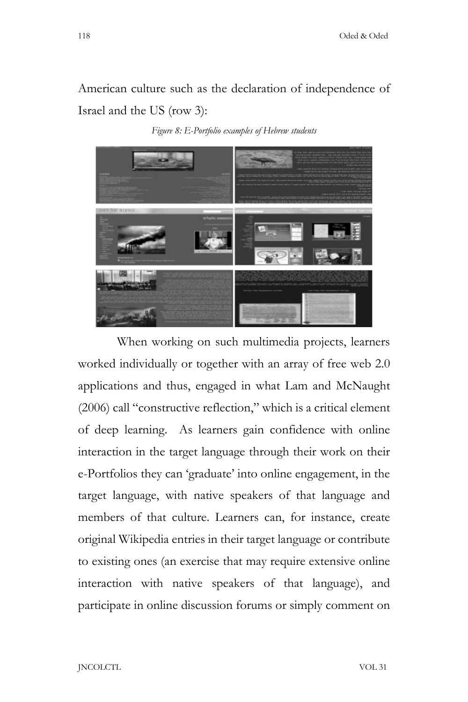American culture such as the declaration of independence of Israel and the US (row 3):

*Figure 8: E-Portfolio examples of Hebrew students*



When working on such multimedia projects, learners worked individually or together with an array of free web 2.0 applications and thus, engaged in what Lam and McNaught (2006) call "constructive reflection," which is a critical element of deep learning. As learners gain confidence with online interaction in the target language through their work on their e-Portfolios they can 'graduate' into online engagement, in the target language, with native speakers of that language and members of that culture. Learners can, for instance, create original Wikipedia entries in their target language or contribute to existing ones (an exercise that may require extensive online interaction with native speakers of that language), and participate in online discussion forums or simply comment on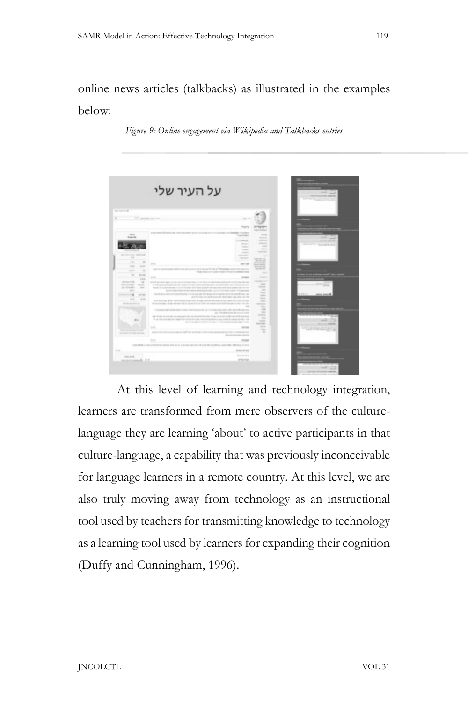## online news articles (talkbacks) as illustrated in the examples below:

*Figure 9: Online engagement via Wikipedia and Talkbacks entries*



At this level of learning and technology integration, learners are transformed from mere observers of the culturelanguage they are learning 'about' to active participants in that culture-language, a capability that was previously inconceivable for language learners in a remote country. At this level, we are also truly moving away from technology as an instructional tool used by teachers for transmitting knowledge to technology as a learning tool used by learners for expanding their cognition (Duffy and Cunningham, 1996).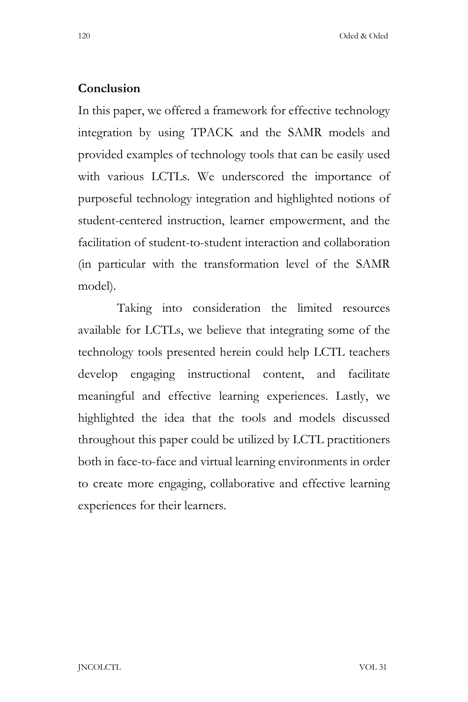## **Conclusion**

In this paper, we offered a framework for effective technology integration by using TPACK and the SAMR models and provided examples of technology tools that can be easily used with various LCTLs. We underscored the importance of purposeful technology integration and highlighted notions of student-centered instruction, learner empowerment, and the facilitation of student-to-student interaction and collaboration (in particular with the transformation level of the SAMR model).

Taking into consideration the limited resources available for LCTLs, we believe that integrating some of the technology tools presented herein could help LCTL teachers develop engaging instructional content, and facilitate meaningful and effective learning experiences. Lastly, we highlighted the idea that the tools and models discussed throughout this paper could be utilized by LCTL practitioners both in face-to-face and virtual learning environments in order to create more engaging, collaborative and effective learning experiences for their learners.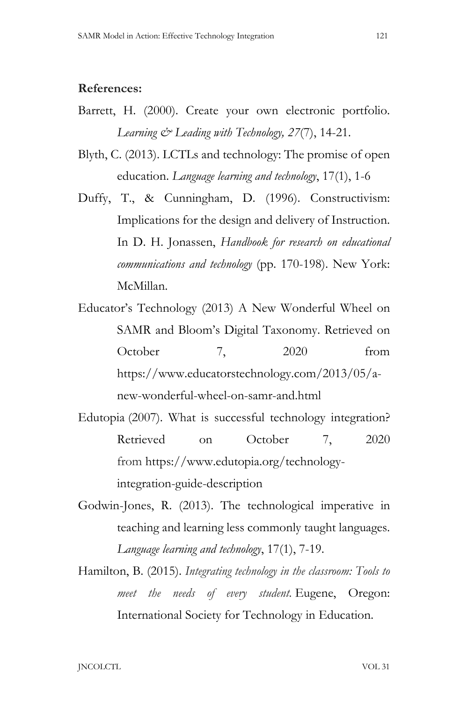#### **References:**

- Barrett, H. (2000). Create your own electronic portfolio. *Learning & Leading with Technology, 27*(7), 14-21.
- Blyth, C. (2013). LCTLs and technology: The promise of open education. *Language learning and technology*, 17(1), 1-6
- Duffy, T., & Cunningham, D. (1996). Constructivism: Implications for the design and delivery of Instruction. In D. H. Jonassen, *Handbook for research on educational communications and technology* (pp. 170-198). New York: McMillan.
- Educator's Technology (2013) A New Wonderful Wheel on SAMR and Bloom's Digital Taxonomy. Retrieved on October 7, 2020 from https://www.educatorstechnology.com/2013/05/anew-wonderful-wheel-on-samr-and.html
- Edutopia (2007). What is successful technology integration? Retrieved on October 7, 2020 from https://www.edutopia.org/technologyintegration-guide-description
- Godwin-Jones, R. (2013). The technological imperative in teaching and learning less commonly taught languages. *Language learning and technology*, 17(1), 7-19.
- Hamilton, B. (2015). *Integrating technology in the classroom: Tools to meet the needs of every student.* Eugene, Oregon: International Society for Technology in Education.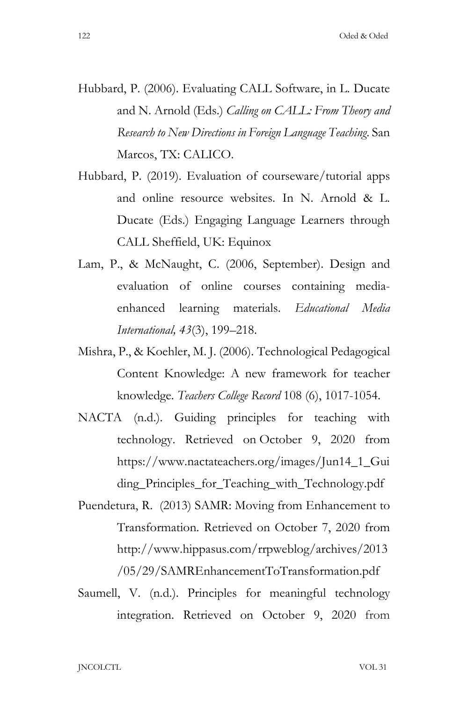- Hubbard, P. (2006). Evaluating CALL Software, in L. Ducate and N. Arnold (Eds.) *Calling on CALL: From Theory and Research to New Directions in Foreign Language Teaching*. San Marcos, TX: CALICO.
- Hubbard, P. (2019). Evaluation of courseware/tutorial apps and online resource websites. In N. Arnold & L. Ducate (Eds.) Engaging Language Learners through CALL Sheffield, UK: Equinox
- Lam, P., & McNaught, C. (2006, September). Design and evaluation of online courses containing mediaenhanced learning materials. *Educational Media International, 43*(3), 199–218.
- Mishra, P., & Koehler, M. J. (2006). Technological Pedagogical Content Knowledge: A new framework for teacher knowledge. *Teachers College Record* 108 (6), 1017-1054.
- NACTA (n.d.). Guiding principles for teaching with technology. Retrieved on October 9, 2020 from https://www.nactateachers.org/images/Jun14\_1\_Gui ding Principles for Teaching with Technology.pdf
- Puendetura, R. (2013) SAMR: Moving from Enhancement to Transformation. Retrieved on October 7, 2020 from http://www.hippasus.com/rrpweblog/archives/2013 /05/29/SAMREnhancementToTransformation.pdf
- Saumell, V. (n.d.). Principles for meaningful technology integration. Retrieved on October 9, 2020 from